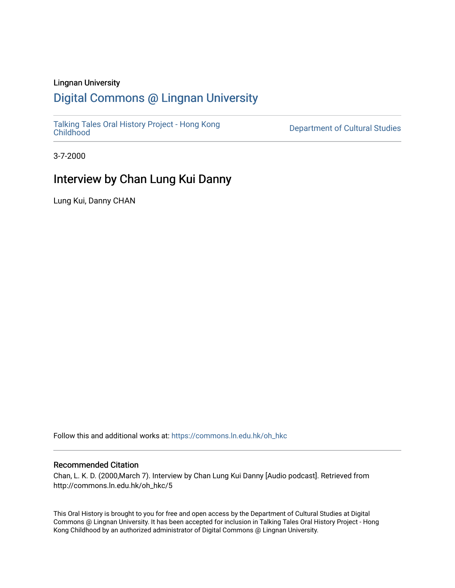### Lingnan University

### [Digital Commons @ Lingnan University](https://commons.ln.edu.hk/)

[Talking Tales Oral History Project - Hong Kong](https://commons.ln.edu.hk/oh_hkc)

Department of Cultural Studies

3-7-2000

### Interview by Chan Lung Kui Danny

Lung Kui, Danny CHAN

Follow this and additional works at: [https://commons.ln.edu.hk/oh\\_hkc](https://commons.ln.edu.hk/oh_hkc?utm_source=commons.ln.edu.hk%2Foh_hkc%2F5&utm_medium=PDF&utm_campaign=PDFCoverPages) 

#### Recommended Citation

Chan, L. K. D. (2000,March 7). Interview by Chan Lung Kui Danny [Audio podcast]. Retrieved from http://commons.ln.edu.hk/oh\_hkc/5

This Oral History is brought to you for free and open access by the Department of Cultural Studies at Digital Commons @ Lingnan University. It has been accepted for inclusion in Talking Tales Oral History Project - Hong Kong Childhood by an authorized administrator of Digital Commons @ Lingnan University.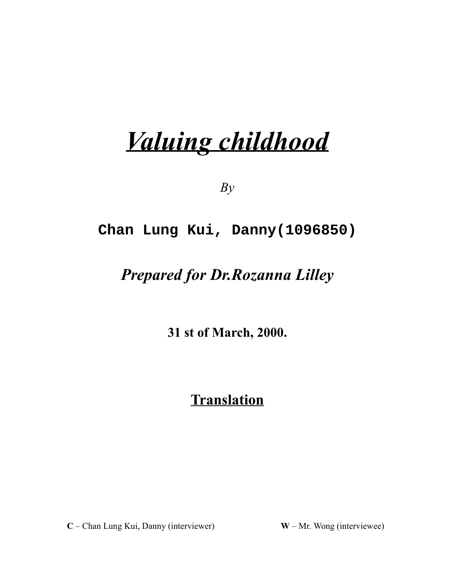# Valuing childhood

 $By$ 

### **Chan Lung Kui, Danny(1096850)**

## Prepared for Dr.Rozanna Lilley

31 st of March, 2000.

# **Translation**

 $C$  – Chan Lung Kui, Danny (interviewer)  $W$ 

- Mr. Wong (interviewee)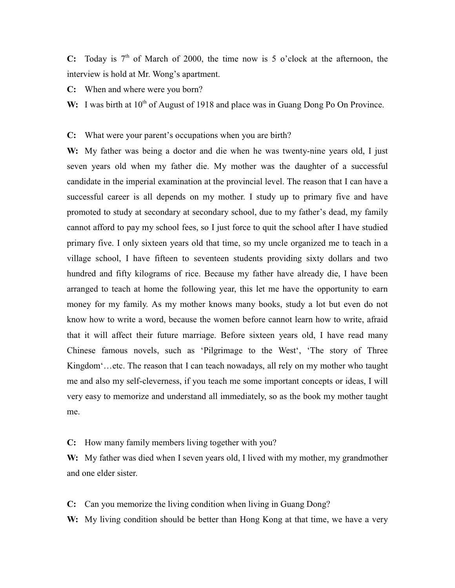C: Today is  $7<sup>th</sup>$  of March of 2000, the time now is 5 o'clock at the afternoon, the interview is hold at Mr. Wong's apartment.

**C:** When and where were you born?

W: I was birth at  $10<sup>th</sup>$  of August of 1918 and place was in Guang Dong Po On Province.

**C:** What were your parent's occupations when you are birth?

W: My father was being a doctor and die when he was twenty-nine years old, I just seven years old when my father die. My mother was the daughter of a successful candidate in the imperial examination at the provincial level. The reason that I can have a successful career is all depends on my mother. I study up to primary five and have promoted to study at secondary at secondary school, due to my father's dead, my family cannot afford to pay my school fees, so I just force to quit the school after I have studied primary five. I only sixteen years old that time, so my uncle organized me to teach in a village school, I have fifteen to seventeen students providing sixty dollars and two hundred and fifty kilograms of rice. Because my father have already die, I have been arranged to teach at home the following year, this let me have the opportunity to earn money for my family. As my mother knows many books, study a lot but even do not know how to write a word, because the women before cannot learn how to write, afraid that it will affect their future marriage. Before sixteen years old, I have read many Chinese famous novels, such as 'Pilgrimage to the West', 'The story of Three Kingdom'...etc. The reason that I can teach nowadays, all rely on my mother who taught me and also my self-cleverness, if you teach me some important concepts or ideas, I will very easy to memorize and understand all immediately, so as the book my mother taught me.

**C:** How many family members living together with you?

W: My father was died when I seven years old, I lived with my mother, my grandmother and one elder sister.

C: Can you memorize the living condition when living in Guang Dong?

W: My living condition should be better than Hong Kong at that time, we have a very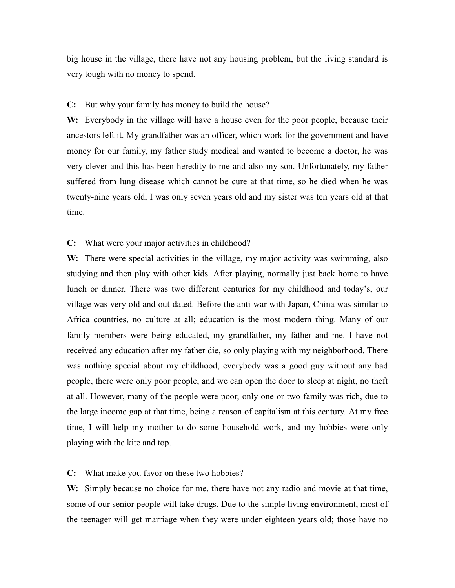big house in the village, there have not any housing problem, but the living standard is very tough with no money to spend.

#### C: But why your family has money to build the house?

W: Everybody in the village will have a house even for the poor people, because their ancestors left it. My grandfather was an officer, which work for the government and have money for our family, my father study medical and wanted to become a doctor, he was very clever and this has been heredity to me and also my son. Unfortunately, my father suffered from lung disease which cannot be cure at that time, so he died when he was twenty-nine years old. I was only seven years old and my sister was ten years old at that time.

**C:** What were your major activities in childhood?

W: There were special activities in the village, my major activity was swimming, also studying and then play with other kids. After playing, normally just back home to have lunch or dinner. There was two different centuries for my childhood and today's, our village was very old and out-dated. Before the anti-war with Japan, China was similar to Africa countries, no culture at all; education is the most modern thing. Many of our family members were being educated, my grandfather, my father and me. I have not received any education after my father die, so only playing with my neighborhood. There was nothing special about my childhood, everybody was a good guy without any bad people, there were only poor people, and we can open the door to sleep at night, no theft at all. However, many of the people were poor, only one or two family was rich, due to the large income gap at that time, being a reason of capitalism at this century. At my free time, I will help my mother to do some household work, and my hobbies were only playing with the kite and top.

### C: What make you favor on these two hobbies?

W: Simply because no choice for me, there have not any radio and movie at that time, some of our senior people will take drugs. Due to the simple living environment, most of the teenager will get marriage when they were under eighteen years old; those have no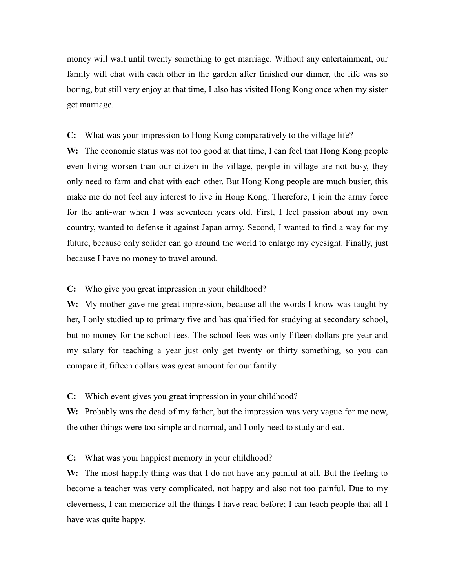money will wait until twenty something to get marriage. Without any entertainment, our family will chat with each other in the garden after finished our dinner, the life was so boring, but still very enjoy at that time, I also has visited Hong Kong once when my sister get marriage.

### C: What was your impression to Hong Kong comparatively to the village life?

W: The economic status was not too good at that time, I can feel that Hong Kong people even living worsen than our citizen in the village, people in village are not busy, they only need to farm and chat with each other. But Hong Kong people are much busier, this make me do not feel any interest to live in Hong Kong. Therefore, I join the army force for the anti-war when I was seventeen years old. First, I feel passion about my own country, wanted to defense it against Japan army. Second, I wanted to find a way for my future, because only solider can go around the world to enlarge my eyesight. Finally, just because I have no money to travel around.

### **C:** Who give you great impression in your childhood?

W: My mother gave me great impression, because all the words I know was taught by her, I only studied up to primary five and has qualified for studying at secondary school, but no money for the school fees. The school fees was only fifteen dollars pre year and my salary for teaching a year just only get twenty or thirty something, so you can compare it, fifteen dollars was great amount for our family.

C: Which event gives you great impression in your childhood?

W: Probably was the dead of my father, but the impression was very vague for me now, the other things were too simple and normal, and I only need to study and eat.

**C:** What was your happiest memory in your childhood?

W: The most happily thing was that I do not have any painful at all. But the feeling to become a teacher was very complicated, not happy and also not too painful. Due to my cleverness, I can memorize all the things I have read before; I can teach people that all I have was quite happy.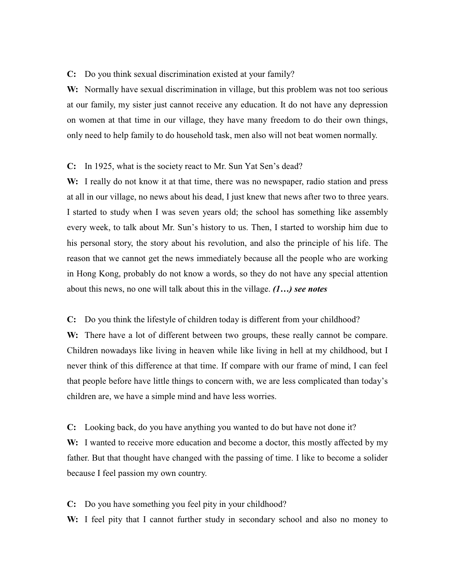### C: Do you think sexual discrimination existed at your family?

W: Normally have sexual discrimination in village, but this problem was not too serious at our family, my sister just cannot receive any education. It do not have any depression on women at that time in our village, they have many freedom to do their own things, only need to help family to do household task, men also will not beat women normally.

#### **C:** In 1925, what is the society react to Mr. Sun Yat Sen's dead?

W: I really do not know it at that time, there was no newspaper, radio station and press at all in our village, no news about his dead, I just knew that news after two to three years. I started to study when I was seven years old; the school has something like assembly every week, to talk about Mr. Sun's history to us. Then, I started to worship him due to his personal story, the story about his revolution, and also the principle of his life. The reason that we cannot get the news immediately because all the people who are working in Hong Kong, probably do not know a words, so they do not have any special attention about this news, no one will talk about this in the village.  $(1...)$  see notes

C: Do you think the lifestyle of children today is different from your childhood?

W: There have a lot of different between two groups, these really cannot be compare. Children nowadays like living in heaven while like living in hell at my childhood, but I never think of this difference at that time. If compare with our frame of mind, I can feel that people before have little things to concern with, we are less complicated than today's children are, we have a simple mind and have less worries.

C: Looking back, do you have anything you wanted to do but have not done it? W: I wanted to receive more education and become a doctor, this mostly affected by my father. But that thought have changed with the passing of time. I like to become a solider because I feel passion my own country.

**C:** Do you have something you feel pity in your childhood?

W: I feel pity that I cannot further study in secondary school and also no money to